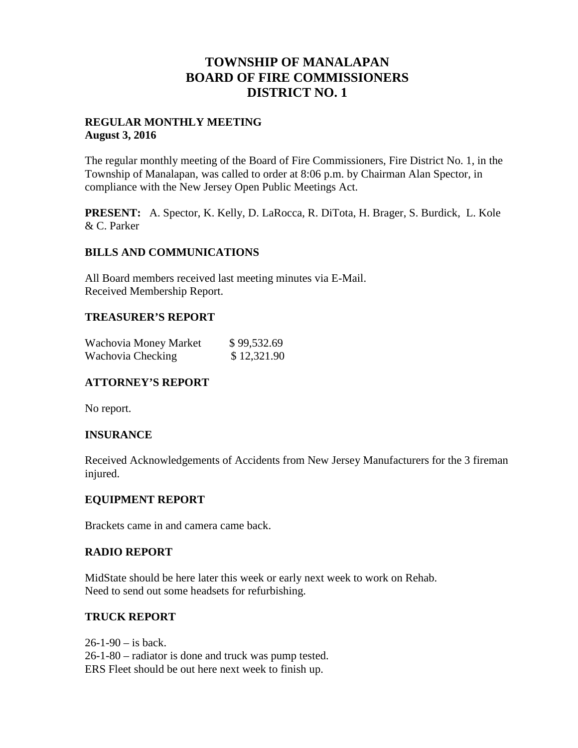## **TOWNSHIP OF MANALAPAN BOARD OF FIRE COMMISSIONERS DISTRICT NO. 1**

#### **REGULAR MONTHLY MEETING August 3, 2016**

The regular monthly meeting of the Board of Fire Commissioners, Fire District No. 1, in the Township of Manalapan, was called to order at 8:06 p.m. by Chairman Alan Spector, in compliance with the New Jersey Open Public Meetings Act.

**PRESENT:** A. Spector, K. Kelly, D. LaRocca, R. DiTota, H. Brager, S. Burdick, L. Kole & C. Parker

#### **BILLS AND COMMUNICATIONS**

All Board members received last meeting minutes via E-Mail. Received Membership Report.

#### **TREASURER'S REPORT**

| Wachovia Money Market | \$99,532.69 |
|-----------------------|-------------|
| Wachovia Checking     | \$12,321.90 |

## **ATTORNEY'S REPORT**

No report.

#### **INSURANCE**

Received Acknowledgements of Accidents from New Jersey Manufacturers for the 3 fireman injured.

#### **EQUIPMENT REPORT**

Brackets came in and camera came back.

#### **RADIO REPORT**

MidState should be here later this week or early next week to work on Rehab. Need to send out some headsets for refurbishing.

#### **TRUCK REPORT**

 $26 - 1 - 90 - is back.$ 26-1-80 – radiator is done and truck was pump tested. ERS Fleet should be out here next week to finish up.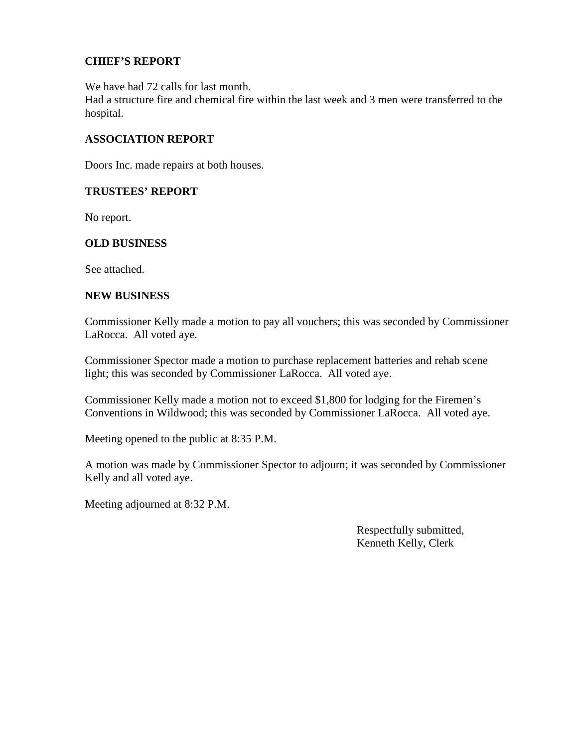## **CHIEF'S REPORT**

We have had 72 calls for last month.

Had a structure fire and chemical fire within the last week and 3 men were transferred to the hospital.

#### **ASSOCIATION REPORT**

Doors Inc. made repairs at both houses.

#### **TRUSTEES' REPORT**

No report.

## **OLD BUSINESS**

See attached.

#### **NEW BUSINESS**

Commissioner Kelly made a motion to pay all vouchers; this was seconded by Commissioner LaRocca. All voted aye.

Commissioner Spector made a motion to purchase replacement batteries and rehab scene light; this was seconded by Commissioner LaRocca. All voted aye.

Commissioner Kelly made a motion not to exceed \$1,800 for lodging for the Firemen's Conventions in Wildwood; this was seconded by Commissioner LaRocca. All voted aye.

Meeting opened to the public at 8:35 P.M.

A motion was made by Commissioner Spector to adjourn; it was seconded by Commissioner Kelly and all voted aye.

Meeting adjourned at 8:32 P.M.

Respectfully submitted, Kenneth Kelly, Clerk